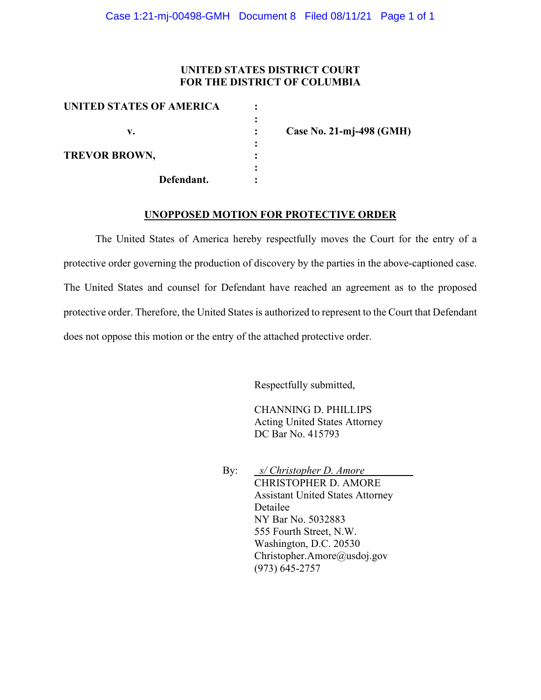## **UNITED STATES DISTRICT COURT FOR THE DISTRICT OF COLUMBIA**

| UNITED STATES OF AMERICA |                          |
|--------------------------|--------------------------|
| v.                       | Case No. 21-mj-498 (GMH) |
| <b>TREVOR BROWN,</b>     |                          |
|                          |                          |
| Defendant.               |                          |

### **UNOPPOSED MOTION FOR PROTECTIVE ORDER**

The United States of America hereby respectfully moves the Court for the entry of a protective order governing the production of discovery by the parties in the above-captioned case. The United States and counsel for Defendant have reached an agreement as to the proposed protective order. Therefore, the United States is authorized to represent to the Court that Defendant does not oppose this motion or the entry of the attached protective order.

Respectfully submitted,

CHANNING D. PHILLIPS Acting United States Attorney DC Bar No. 415793

By: *s/ Christopher D. Amore* CHRISTOPHER D. AMORE Assistant United States Attorney Detailee NY Bar No. 5032883 555 Fourth Street, N.W. Washington, D.C. 20530 Christopher.Amore@usdoj.gov (973) 645-2757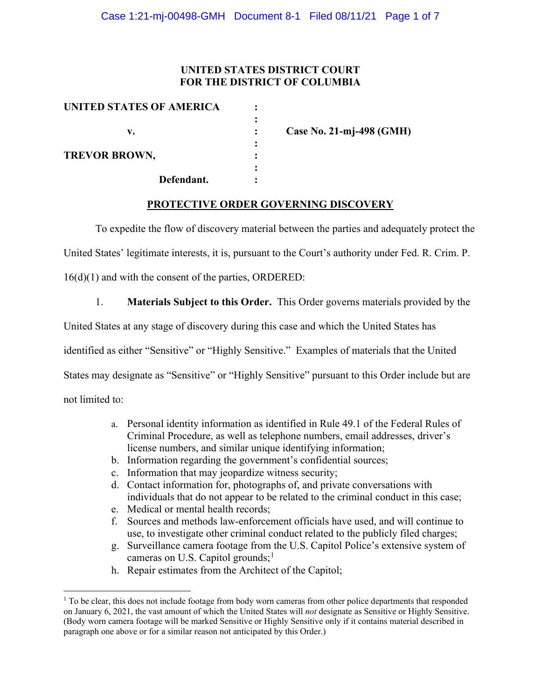## **UNITED STATES DISTRICT COURT FOR THE DISTRICT OF COLUMBIA**

| UNITED STATES OF AMERICA |                          |
|--------------------------|--------------------------|
| v.                       | Case No. 21-mj-498 (GMH) |
| <b>TREVOR BROWN,</b>     |                          |
| Defendant.               |                          |

## **PROTECTIVE ORDER GOVERNING DISCOVERY**

To expedite the flow of discovery material between the parties and adequately protect the

United States' legitimate interests, it is, pursuant to the Court's authority under Fed. R. Crim. P.

16(d)(1) and with the consent of the parties, ORDERED:

1. **Materials Subject to this Order.** This Order governs materials provided by the

United States at any stage of discovery during this case and which the United States has

identified as either "Sensitive" or "Highly Sensitive." Examples of materials that the United

States may designate as "Sensitive" or "Highly Sensitive" pursuant to this Order include but are

not limited to:

- a. Personal identity information as identified in Rule 49.1 of the Federal Rules of Criminal Procedure, as well as telephone numbers, email addresses, driver's license numbers, and similar unique identifying information;
- b. Information regarding the government's confidential sources;
- c. Information that may jeopardize witness security;
- d. Contact information for, photographs of, and private conversations with individuals that do not appear to be related to the criminal conduct in this case;
- e. Medical or mental health records;
- f. Sources and methods law-enforcement officials have used, and will continue to use, to investigate other criminal conduct related to the publicly filed charges;
- g. Surveillance camera footage from the U.S. Capitol Police's extensive system of cameras on U.S. Capitol grounds;<sup>1</sup>
- h. Repair estimates from the Architect of the Capitol;

 $1$  To be clear, this does not include footage from body worn cameras from other police departments that responded on January 6, 2021, the vast amount of which the United States will *not* designate as Sensitive or Highly Sensitive. (Body worn camera footage will be marked Sensitive or Highly Sensitive only if it contains material described in paragraph one above or for a similar reason not anticipated by this Order.)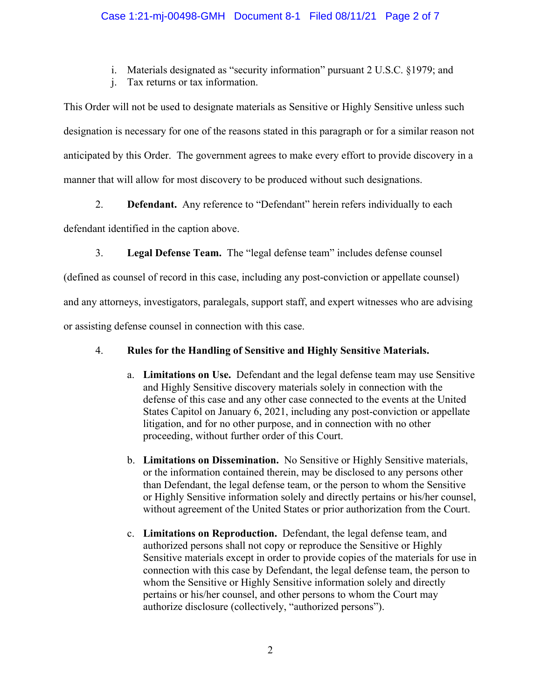i. Materials designated as "security information" pursuant 2 U.S.C. §1979; and

j. Tax returns or tax information.

This Order will not be used to designate materials as Sensitive or Highly Sensitive unless such designation is necessary for one of the reasons stated in this paragraph or for a similar reason not anticipated by this Order. The government agrees to make every effort to provide discovery in a manner that will allow for most discovery to be produced without such designations.

2. **Defendant.** Any reference to "Defendant" herein refers individually to each

defendant identified in the caption above.

3. **Legal Defense Team.** The "legal defense team" includes defense counsel

(defined as counsel of record in this case, including any post-conviction or appellate counsel) and any attorneys, investigators, paralegals, support staff, and expert witnesses who are advising

or assisting defense counsel in connection with this case.

# 4. **Rules for the Handling of Sensitive and Highly Sensitive Materials.**

- a. **Limitations on Use.** Defendant and the legal defense team may use Sensitive and Highly Sensitive discovery materials solely in connection with the defense of this case and any other case connected to the events at the United States Capitol on January 6, 2021, including any post-conviction or appellate litigation, and for no other purpose, and in connection with no other proceeding, without further order of this Court.
- b. **Limitations on Dissemination.** No Sensitive or Highly Sensitive materials, or the information contained therein, may be disclosed to any persons other than Defendant, the legal defense team, or the person to whom the Sensitive or Highly Sensitive information solely and directly pertains or his/her counsel, without agreement of the United States or prior authorization from the Court.
- c. **Limitations on Reproduction.** Defendant, the legal defense team, and authorized persons shall not copy or reproduce the Sensitive or Highly Sensitive materials except in order to provide copies of the materials for use in connection with this case by Defendant, the legal defense team, the person to whom the Sensitive or Highly Sensitive information solely and directly pertains or his/her counsel, and other persons to whom the Court may authorize disclosure (collectively, "authorized persons").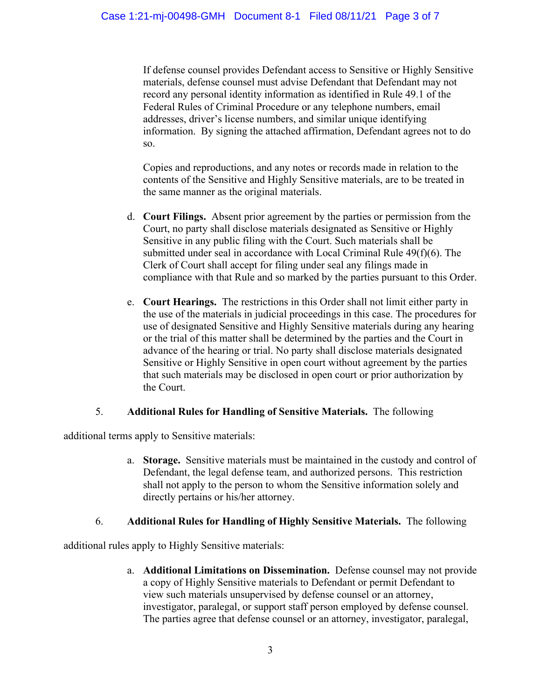If defense counsel provides Defendant access to Sensitive or Highly Sensitive materials, defense counsel must advise Defendant that Defendant may not record any personal identity information as identified in Rule 49.1 of the Federal Rules of Criminal Procedure or any telephone numbers, email addresses, driver's license numbers, and similar unique identifying information. By signing the attached affirmation, Defendant agrees not to do so.

Copies and reproductions, and any notes or records made in relation to the contents of the Sensitive and Highly Sensitive materials, are to be treated in the same manner as the original materials.

- d. **Court Filings.** Absent prior agreement by the parties or permission from the Court, no party shall disclose materials designated as Sensitive or Highly Sensitive in any public filing with the Court. Such materials shall be submitted under seal in accordance with Local Criminal Rule 49(f)(6). The Clerk of Court shall accept for filing under seal any filings made in compliance with that Rule and so marked by the parties pursuant to this Order.
- e. **Court Hearings.** The restrictions in this Order shall not limit either party in the use of the materials in judicial proceedings in this case. The procedures for use of designated Sensitive and Highly Sensitive materials during any hearing or the trial of this matter shall be determined by the parties and the Court in advance of the hearing or trial. No party shall disclose materials designated Sensitive or Highly Sensitive in open court without agreement by the parties that such materials may be disclosed in open court or prior authorization by the Court.

## 5. **Additional Rules for Handling of Sensitive Materials.** The following

additional terms apply to Sensitive materials:

a. **Storage.** Sensitive materials must be maintained in the custody and control of Defendant, the legal defense team, and authorized persons. This restriction shall not apply to the person to whom the Sensitive information solely and directly pertains or his/her attorney.

## 6. **Additional Rules for Handling of Highly Sensitive Materials.** The following

additional rules apply to Highly Sensitive materials:

a. **Additional Limitations on Dissemination.** Defense counsel may not provide a copy of Highly Sensitive materials to Defendant or permit Defendant to view such materials unsupervised by defense counsel or an attorney, investigator, paralegal, or support staff person employed by defense counsel. The parties agree that defense counsel or an attorney, investigator, paralegal,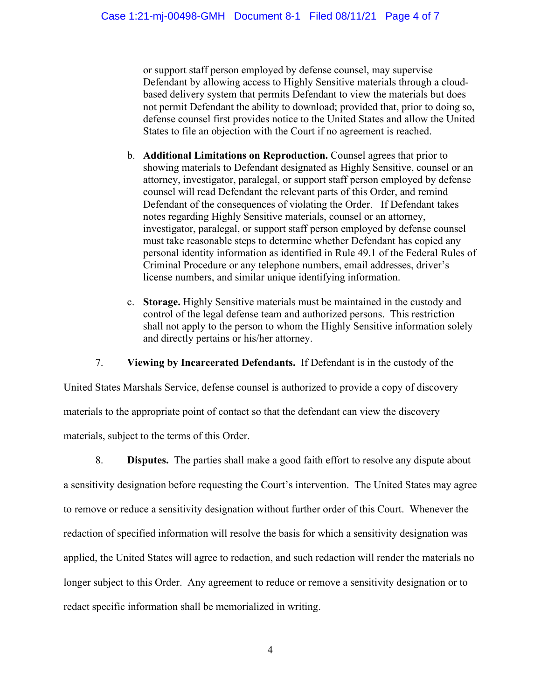or support staff person employed by defense counsel, may supervise Defendant by allowing access to Highly Sensitive materials through a cloudbased delivery system that permits Defendant to view the materials but does not permit Defendant the ability to download; provided that, prior to doing so, defense counsel first provides notice to the United States and allow the United States to file an objection with the Court if no agreement is reached.

- b. **Additional Limitations on Reproduction.** Counsel agrees that prior to showing materials to Defendant designated as Highly Sensitive, counsel or an attorney, investigator, paralegal, or support staff person employed by defense counsel will read Defendant the relevant parts of this Order, and remind Defendant of the consequences of violating the Order. If Defendant takes notes regarding Highly Sensitive materials, counsel or an attorney, investigator, paralegal, or support staff person employed by defense counsel must take reasonable steps to determine whether Defendant has copied any personal identity information as identified in Rule 49.1 of the Federal Rules of Criminal Procedure or any telephone numbers, email addresses, driver's license numbers, and similar unique identifying information.
- c. **Storage.** Highly Sensitive materials must be maintained in the custody and control of the legal defense team and authorized persons. This restriction shall not apply to the person to whom the Highly Sensitive information solely and directly pertains or his/her attorney.

7. **Viewing by Incarcerated Defendants.** If Defendant is in the custody of the

United States Marshals Service, defense counsel is authorized to provide a copy of discovery materials to the appropriate point of contact so that the defendant can view the discovery materials, subject to the terms of this Order.

8. **Disputes.** The parties shall make a good faith effort to resolve any dispute about a sensitivity designation before requesting the Court's intervention. The United States may agree to remove or reduce a sensitivity designation without further order of this Court. Whenever the redaction of specified information will resolve the basis for which a sensitivity designation was applied, the United States will agree to redaction, and such redaction will render the materials no longer subject to this Order. Any agreement to reduce or remove a sensitivity designation or to redact specific information shall be memorialized in writing.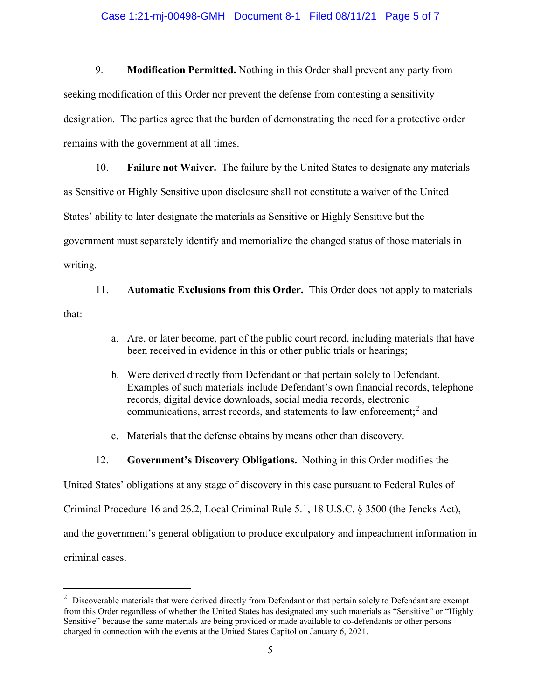### Case 1:21-mj-00498-GMH Document 8-1 Filed 08/11/21 Page 5 of 7

9. **Modification Permitted.** Nothing in this Order shall prevent any party from seeking modification of this Order nor prevent the defense from contesting a sensitivity designation. The parties agree that the burden of demonstrating the need for a protective order remains with the government at all times.

10. **Failure not Waiver.** The failure by the United States to designate any materials as Sensitive or Highly Sensitive upon disclosure shall not constitute a waiver of the United States' ability to later designate the materials as Sensitive or Highly Sensitive but the government must separately identify and memorialize the changed status of those materials in writing.

11. **Automatic Exclusions from this Order.** This Order does not apply to materials that:

- a. Are, or later become, part of the public court record, including materials that have been received in evidence in this or other public trials or hearings;
- b. Were derived directly from Defendant or that pertain solely to Defendant. Examples of such materials include Defendant's own financial records, telephone records, digital device downloads, social media records, electronic communications, arrest records, and statements to law enforcement; <sup>2</sup> and
- c. Materials that the defense obtains by means other than discovery.
- 12. **Government's Discovery Obligations.** Nothing in this Order modifies the

United States' obligations at any stage of discovery in this case pursuant to Federal Rules of

Criminal Procedure 16 and 26.2, Local Criminal Rule 5.1, 18 U.S.C. § 3500 (the Jencks Act),

and the government's general obligation to produce exculpatory and impeachment information in

criminal cases.

 $2$  Discoverable materials that were derived directly from Defendant or that pertain solely to Defendant are exempt from this Order regardless of whether the United States has designated any such materials as "Sensitive" or "Highly Sensitive" because the same materials are being provided or made available to co-defendants or other persons charged in connection with the events at the United States Capitol on January 6, 2021.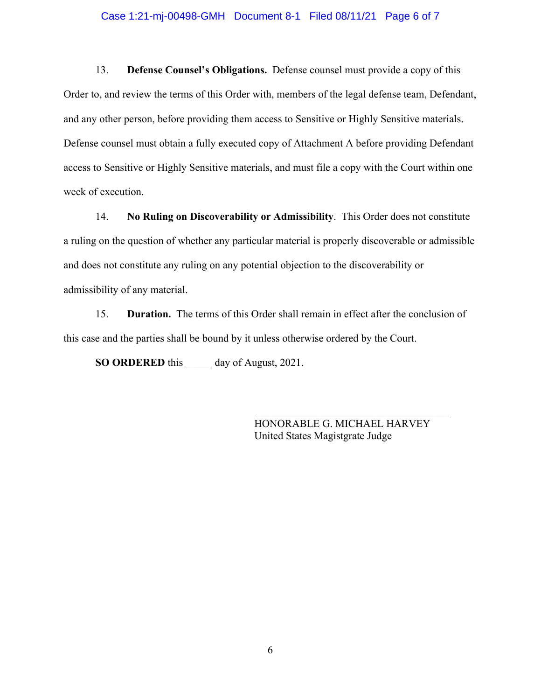### Case 1:21-mj-00498-GMH Document 8-1 Filed 08/11/21 Page 6 of 7

13. **Defense Counsel's Obligations.** Defense counsel must provide a copy of this Order to, and review the terms of this Order with, members of the legal defense team, Defendant, and any other person, before providing them access to Sensitive or Highly Sensitive materials. Defense counsel must obtain a fully executed copy of Attachment A before providing Defendant access to Sensitive or Highly Sensitive materials, and must file a copy with the Court within one week of execution.

14. **No Ruling on Discoverability or Admissibility**. This Order does not constitute a ruling on the question of whether any particular material is properly discoverable or admissible and does not constitute any ruling on any potential objection to the discoverability or admissibility of any material.

15. **Duration.** The terms of this Order shall remain in effect after the conclusion of this case and the parties shall be bound by it unless otherwise ordered by the Court.

**SO ORDERED** this \_\_\_\_\_ day of August, 2021.

HONORABLE G. MICHAEL HARVEY United States Magistgrate Judge

\_\_\_\_\_\_\_\_\_\_\_\_\_\_\_\_\_\_\_\_\_\_\_\_\_\_\_\_\_\_\_\_\_\_\_\_\_